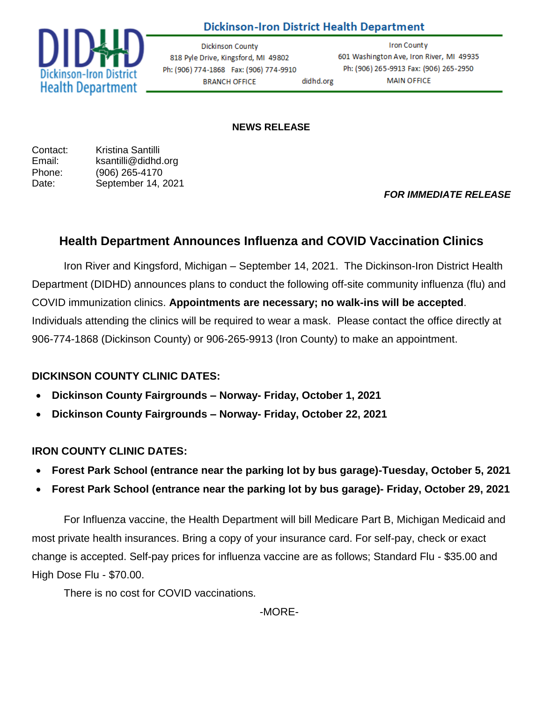## **Dickinson-Iron District Health Department**



**g Dickinson County** 818 Pyle Drive, Kingsford, MI 49802 Ph: (906) 774-1868 Fax: (906) 774-9910 didhd.org **BRANCH OFFICE** 

**Iron County** 601 Washington Ave, Iron River, MI 49935 Ph: (906) 265-9913 Fax: (906) 265-2950 **MAIN OFFICE** 

#### **NEWS RELEASE**

Contact: Kristina Santilli Email: ksantilli@didhd.org Phone: (906) 265-4170 Date: September 14, 2021

*FOR IMMEDIATE RELEASE*

# **Health Department Announces Influenza and COVID Vaccination Clinics**

Iron River and Kingsford, Michigan – September 14, 2021. The Dickinson-Iron District Health Department (DIDHD) announces plans to conduct the following off-site community influenza (flu) and COVID immunization clinics. **Appointments are necessary; no walk-ins will be accepted**. Individuals attending the clinics will be required to wear a mask. Please contact the office directly at 906-774-1868 (Dickinson County) or 906-265-9913 (Iron County) to make an appointment.

### **DICKINSON COUNTY CLINIC DATES:**

- **Dickinson County Fairgrounds – Norway- Friday, October 1, 2021**
- **Dickinson County Fairgrounds – Norway- Friday, October 22, 2021**

### **IRON COUNTY CLINIC DATES:**

- **Forest Park School (entrance near the parking lot by bus garage)-Tuesday, October 5, 2021**
- **Forest Park School (entrance near the parking lot by bus garage)- Friday, October 29, 2021**

For Influenza vaccine, the Health Department will bill Medicare Part B, Michigan Medicaid and most private health insurances. Bring a copy of your insurance card. For self-pay, check or exact change is accepted. Self-pay prices for influenza vaccine are as follows; Standard Flu - \$35.00 and High Dose Flu - \$70.00.

There is no cost for COVID vaccinations.

-MORE-